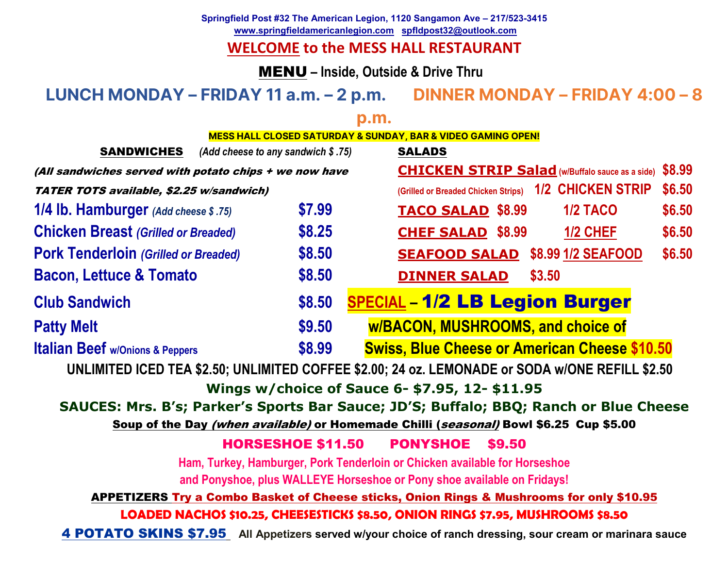**Springfield Post #32 The American Legion, 1120 Sangamon Ave – 217/523-3415 www.springfieldamericanlegion.com spfldpost32@outlook.com** 

## **WELCOME to the MESS HALL RESTAURANT**

MENU **– Inside, Outside & Drive Thru** 

### **LUNCH MONDAY – FRIDAY 11 a.m. – 2 p.m. DINNER MONDAY – FRIDAY 4:00 – 8**

**p.m.** 

| <b>SANDWICHES</b>                                                                                         | (Add cheese to any sandwich $$.75$ ) |        |  | <b>SALADS</b>                            |  |        |                                                        |        |
|-----------------------------------------------------------------------------------------------------------|--------------------------------------|--------|--|------------------------------------------|--|--------|--------------------------------------------------------|--------|
| (All sandwiches served with potato chips + we now have                                                    |                                      |        |  |                                          |  |        | <b>CHICKEN STRIP Salad</b> (w/Buffalo sauce as a side) | \$8.99 |
| TATER TOTS available, \$2.25 w/sandwich)                                                                  |                                      |        |  |                                          |  |        | (Grilled or Breaded Chicken Strips) 1/2 CHICKEN STRIP  | \$6.50 |
| 1/4 lb. Hamburger (Add cheese \$.75)                                                                      |                                      | \$7.99 |  | <b>TACO SALAD \$8.99</b>                 |  |        | <b>1/2 TACO</b>                                        | \$6.50 |
| <b>Chicken Breast (Grilled or Breaded)</b>                                                                |                                      | \$8.25 |  | <b>CHEF SALAD \$8.99</b>                 |  |        | 1/2 CHEF                                               | \$6.50 |
| <b>Pork Tenderloin (Grilled or Breaded)</b>                                                               |                                      | \$8.50 |  | <b>SEAFOOD SALAD</b>                     |  |        | \$8.99 1/2 SEAFOOD                                     | \$6.50 |
| <b>Bacon, Lettuce &amp; Tomato</b>                                                                        |                                      | \$8.50 |  | <b>DINNER SALAD</b>                      |  | \$3.50 |                                                        |        |
| <b>Club Sandwich</b>                                                                                      |                                      | \$8.50 |  | <b>SPECIAL-1/2 LB Legion Burger</b>      |  |        |                                                        |        |
| <b>Patty Melt</b>                                                                                         |                                      | \$9.50 |  | <b>w/BACON, MUSHROOMS, and choice of</b> |  |        |                                                        |        |
| <b>Italian Beef w/Onions &amp; Peppers</b>                                                                |                                      | \$8.99 |  |                                          |  |        | <b>Swiss, Blue Cheese or American Cheese \$10.50</b>   |        |
| UNLIMITED ICED TEA \$2.50; UNLIMITED COFFEE \$2.00; 24 oz. LEMONADE or SODA w/ONE REFILL \$2.50           |                                      |        |  |                                          |  |        |                                                        |        |
| Wings w/choice of Sauce 6- \$7.95, 12- \$11.95                                                            |                                      |        |  |                                          |  |        |                                                        |        |
| SAUCES: Mrs. B's; Parker's Sports Bar Sauce; JD'S; Buffalo; BBQ; Ranch or Blue Cheese                     |                                      |        |  |                                          |  |        |                                                        |        |
| Soup of the Day (when available) or Homemade Chilli (seasonal) Bowl \$6.25 Cup \$5.00                     |                                      |        |  |                                          |  |        |                                                        |        |
| <b>HORSESHOE \$11.50</b><br><b>PONYSHOE</b><br>\$9.50                                                     |                                      |        |  |                                          |  |        |                                                        |        |
| Ham, Turkey, Hamburger, Pork Tenderloin or Chicken available for Horseshoe                                |                                      |        |  |                                          |  |        |                                                        |        |
| and Ponyshoe, plus WALLEYE Horseshoe or Pony shoe available on Fridays!                                   |                                      |        |  |                                          |  |        |                                                        |        |
| <b>APPETIZERS Try a Combo Basket of Cheese sticks, Onion Rings &amp; Mushrooms for only \$10.95</b>       |                                      |        |  |                                          |  |        |                                                        |        |
| LOADED NACHOS \$10.25, CHEESESTICKS \$8.50, ONION RINGS \$7.95, MUSHROOMS \$8.50                          |                                      |        |  |                                          |  |        |                                                        |        |
| 4 POTATO SKINS \$7.95 All Appetizers served w/your choice of ranch dressing, sour cream or marinara sauce |                                      |        |  |                                          |  |        |                                                        |        |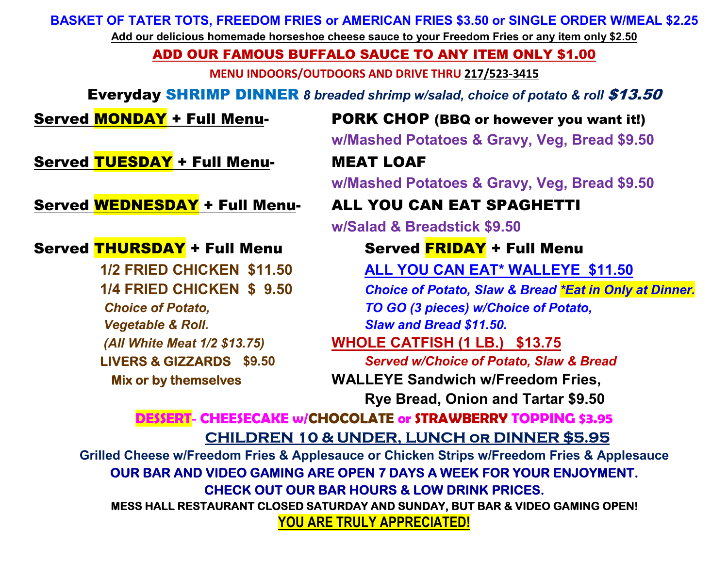**BASKET OF TATER TOTS, FREEDOM FRIES or AMERICAN FRIES \$3.50 or SINGLE ORDER W/MEAL \$2.25** 

**Add our delicious homemade horseshoe cheese sauce to your Freedom Fries or any item only \$2.50** 

### ADD OUR FAMOUS BUFFALO SAUCE TO ANY ITEM ONLY \$1.00

**MENU INDOORS/OUTDOORS AND DRIVE THRU 217/523-3415**

**Everyday SHRIMP DINNER** 8 breaded shrimp w/salad, choice of potato & roll \$13.50

### Served **MONDAY** + Full Menu-

 PORK CHOP (BBQ or however you want it!)**w/Mashed Potatoes & Gravy, Veg, Bread \$9.50** 

Served TUESDAY + Full Menu-

Served WEDNESDAY + Full Menu-

### Served THURSDAY + Full Menu

 *Vegetable & Roll. Slaw and Bread \$11.50.* 

### **LIVERS & GIZZARDS \$9.50**

# MEAT LOAF

**w/Mashed Potatoes & Gravy, Veg, Bread \$9.50** 

### ALL YOU CAN EAT SPAGHETTI

**w/Salad & Breadstick \$9.50** 

# <mark>THURSDAY</mark> + Full Menu Served <mark>FRIDAY</mark> + Full Menu<br>1/2 FRIED CHICKEN \$11.50 ALL YOU CAN EAT\* WALLEYE

**ALL YOU CAN EAT\* WALLEYE \$11.50** 

 **1/4 FRIED CHICKEN \$ 9.50** *Choice of Potato, Slaw & Bread \*Eat in Only at Dinner. Choice of Potato, TO GO (3 pieces) w/Choice of Potato,*

### *(All White Meat 1/2 \$13.75)* **WHOLE CATFISH (1 LB.) \$13.75**

 *Served w/Choice of Potato, Slaw & Bread* **Mix or by themselves WALLEYE Sandwich w/Freedom Fries,** 

**Rye Bread, Onion and Tartar \$9.50** 

### **DESSERT- CHEESECAKE w/CHOCOLATE or STRAWBERRY TOPPING \$3.95CHILDREN 10 & UNDER, LUNCH or DINNER \$5.95**

 **Grilled Cheese w/Freedom Fries & Applesauce or Chicken Strips w/Freedom Fries & Applesauce OUR BAR AND VIDEO GAMING ARE OPEN 7 DAYS A WEEK FOR YOUR ENJOYMENT. CHECK OUT OUR BAR HOURS & LOW DRINK PRICES. MESS HALL RESTAURANT CLOSED SATURDAY AND SUNDAY, BUT BAR & VIDEO GAMING OPEN!** 

**YOU ARE TRULY APPRECIATED!**